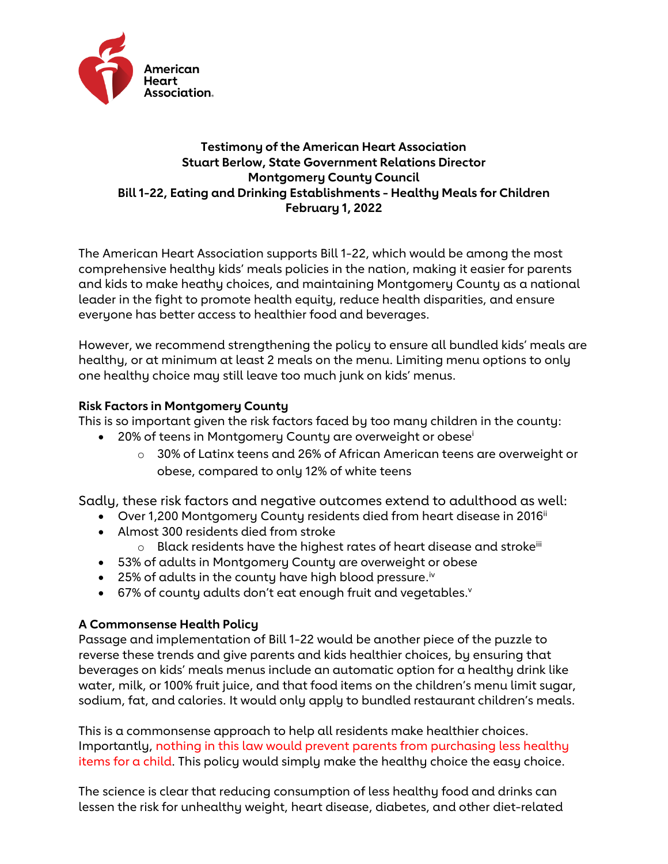

# **Testimony of the American Heart Association Stuart Berlow, State Government Relations Director Montgomery County Council Bill 1-22, Eating and Drinking Establishments - Healthy Meals for Children February 1, 2022**

The American Heart Association supports Bill 1-22, which would be among the most comprehensive healthy kids' meals policies in the nation, making it easier for parents and kids to make heathy choices, and maintaining Montgomery County as a national leader in the fight to promote health equity, reduce health disparities, and ensure everyone has better access to healthier food and beverages.

However, we recommend strengthening the policy to ensure all bundled kids' meals are healthy, or at minimum at least 2 meals on the menu. Limiting menu options to only one healthy choice may still leave too much junk on kids' menus.

## **Risk Factors in Montgomery County**

This is so important given the risk factors faced by too many children in the county:

- 20% of teens in Montgomery County are overweight or obese<sup>i</sup>
	- $\circ$  30% of Latinx teens and 26% of African American teens are overweight or obese, compared to only 12% of white teens

Sadly, these risk factors and negative outcomes extend to adulthood as well:

- Over 1,200 Montgomery County residents died from heart disease in 2016<sup>ii</sup>
- Almost 300 residents died from stroke
	- $\circ$  Black residents have the highest rates of heart disease and stroke<sup>iii</sup>
- 53% of adults in Montgomery County are overweight or obese
- $\bullet$  25% of adults in the county have high blood pressure.<sup>iv</sup>
- $\bullet$  67% of county adults don't eat enough fruit and vegetables. $\theta$

## **A Commonsense Health Policy**

Passage and implementation of Bill 1-22 would be another piece of the puzzle to reverse these trends and give parents and kids healthier choices, by ensuring that beverages on kids' meals menus include an automatic option for a healthy drink like water, milk, or 100% fruit juice, and that food items on the children's menu limit sugar, sodium, fat, and calories. It would only apply to bundled restaurant children's meals.

This is a commonsense approach to help all residents make healthier choices. Importantly, nothing in this law would prevent parents from purchasing less healthy items for a child. This policy would simply make the healthy choice the easy choice.

The science is clear that reducing consumption of less healthy food and drinks can lessen the risk for unhealthy weight, heart disease, diabetes, and other diet-related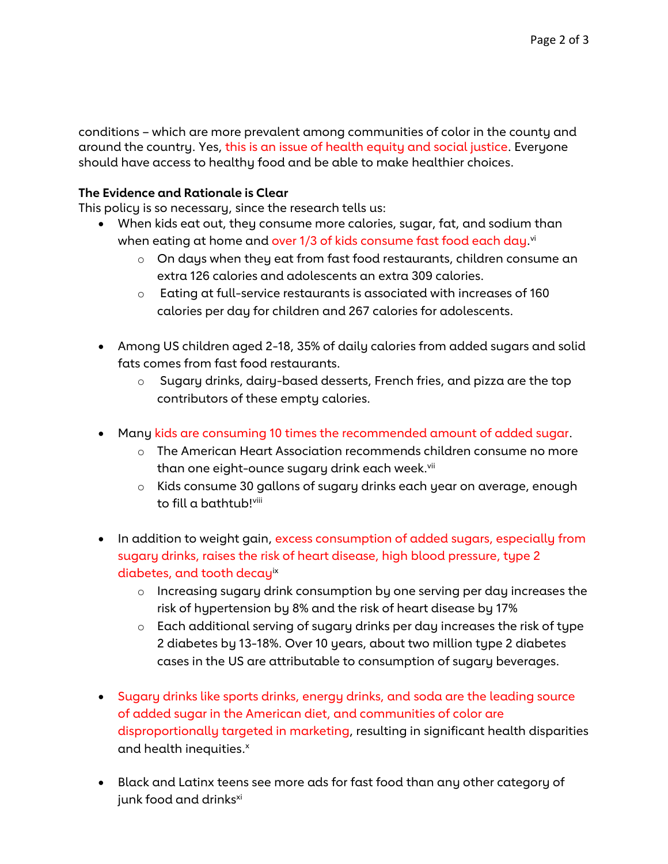conditions – which are more prevalent among communities of color in the county and around the country. Yes, this is an issue of health equity and social justice. Everyone should have access to healthy food and be able to make healthier choices.

### **The Evidence and Rationale is Clear**

This policy is so necessary, since the research tells us:

- When kids eat out, they consume more calories, sugar, fat, and sodium than when eating at home and <mark>over 1/3 of kids consume fast food each day.</mark><sup>vi</sup>
	- $\circ$  On days when they eat from fast food restaurants, children consume an extra 126 calories and adolescents an extra 309 calories.
	- $\circ$  Eating at full-service restaurants is associated with increases of 160 calories per day for children and 267 calories for adolescents.
- Among US children aged 2-18, 35% of daily calories from added sugars and solid fats comes from fast food restaurants.
	- o Sugary drinks, dairy-based desserts, French fries, and pizza are the top contributors of these empty calories.
- Many kids are consuming 10 times the recommended amount of added sugar.
	- o The American Heart Association recommends children consume no more than one eight-ounce sugary drink each week.<sup>vii</sup>
	- o Kids consume 30 gallons of sugary drinks each year on average, enough to fill a bathtub!viii
- In addition to weight gain, excess consumption of added sugars, especially from sugary drinks, raises the risk of heart disease, high blood pressure, type 2 diabetes, and tooth decayix
	- o Increasing sugary drink consumption by one serving per day increases the risk of hypertension by 8% and the risk of heart disease by 17%
	- o Each additional serving of sugary drinks per day increases the risk of type 2 diabetes by 13-18%. Over 10 years, about two million type 2 diabetes cases in the US are attributable to consumption of sugary beverages.
- Sugary drinks like sports drinks, energy drinks, and soda are the leading source of added sugar in the American diet, and communities of color are disproportionally targeted in marketing, resulting in significant health disparities and health inequities.<sup>x</sup>
- Black and Latinx teens see more ads for fast food than any other category of junk food and drinks<sup>xi</sup>